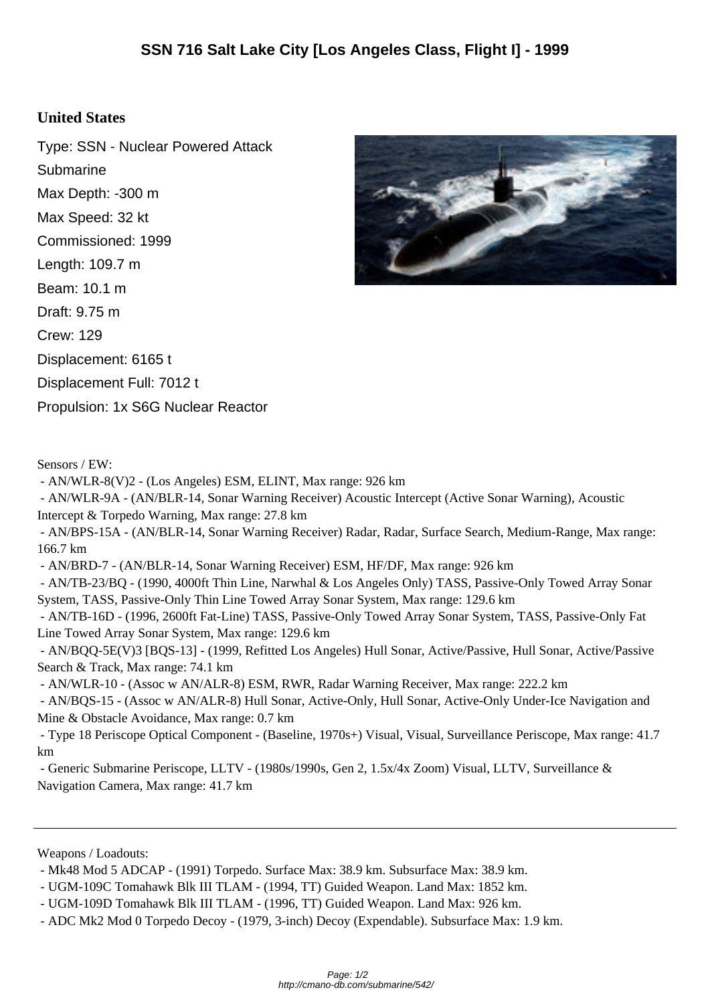## **United States**

Type: SSN - Nuclear Powered Attack Submarine Max Depth: -300 m Max Speed: 32 kt Commissioned: 1999 Length: 109.7 m Beam: 10.1 m Draft: 9.75 m Crew: 129 Displacement: 6165 t Displacement Full: 7012 t Propulsion: 1x S6G Nuclear Reactor



- AN/WLR-8(V)2 - (Los Angeles) ESM, ELINT, Max range: 926 km

 - AN/WLR-9A - (AN/BLR-14, Sonar Warning Receiver) Acoustic Intercept (Active Sonar Warning), Acoustic Intercept & Torpedo Warning, Max range: 27.8 km

 - AN/BPS-15A - (AN/BLR-14, Sonar Warning Receiver) Radar, Radar, Surface Search, Medium-Range, Max range: 166.7 km

- AN/BRD-7 - (AN/BLR-14, Sonar Warning Receiver) ESM, HF/DF, Max range: 926 km

 - AN/TB-23/BQ - (1990, 4000ft Thin Line, Narwhal & Los Angeles Only) TASS, Passive-Only Towed Array Sonar System, TASS, Passive-Only Thin Line Towed Array Sonar System, Max range: 129.6 km

 - AN/TB-16D - (1996, 2600ft Fat-Line) TASS, Passive-Only Towed Array Sonar System, TASS, Passive-Only Fat Line Towed Array Sonar System, Max range: 129.6 km

 - AN/BQQ-5E(V)3 [BQS-13] - (1999, Refitted Los Angeles) Hull Sonar, Active/Passive, Hull Sonar, Active/Passive Search & Track, Max range: 74.1 km

- AN/WLR-10 - (Assoc w AN/ALR-8) ESM, RWR, Radar Warning Receiver, Max range: 222.2 km

 - AN/BQS-15 - (Assoc w AN/ALR-8) Hull Sonar, Active-Only, Hull Sonar, Active-Only Under-Ice Navigation and Mine & Obstacle Avoidance, Max range: 0.7 km

 - Type 18 Periscope Optical Component - (Baseline, 1970s+) Visual, Visual, Surveillance Periscope, Max range: 41.7 km

 - Generic Submarine Periscope, LLTV - (1980s/1990s, Gen 2, 1.5x/4x Zoom) Visual, LLTV, Surveillance & Navigation Camera, Max range: 41.7 km

Weapons / Loadouts:



 <sup>-</sup> Mk48 Mod 5 ADCAP - (1991) Torpedo. Surface Max: 38.9 km. Subsurface Max: 38.9 km.

 <sup>-</sup> UGM-109C Tomahawk Blk III TLAM - (1994, TT) Guided Weapon. Land Max: 1852 km.

 <sup>-</sup> UGM-109D Tomahawk Blk III TLAM - (1996, TT) Guided Weapon. Land Max: 926 km.

 <sup>-</sup> ADC Mk2 Mod 0 Torpedo Decoy - (1979, 3-inch) Decoy (Expendable). Subsurface Max: 1.9 km.